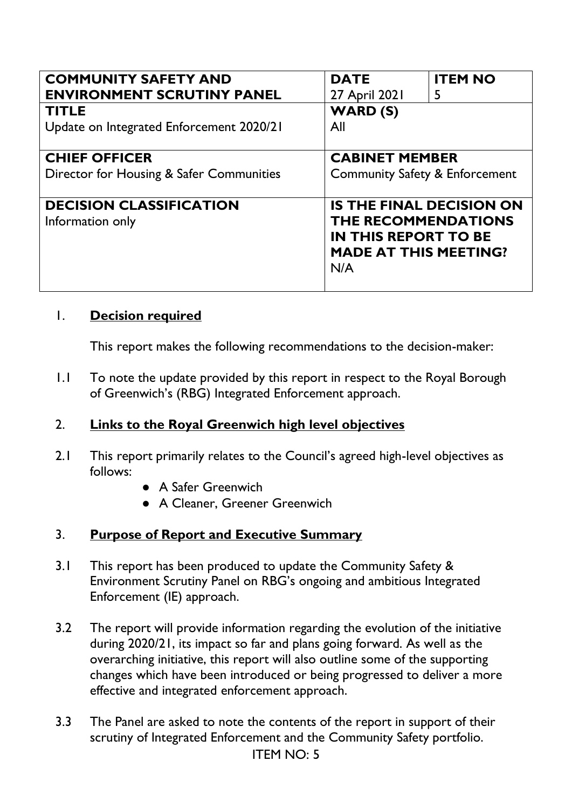| <b>COMMUNITY SAFETY AND</b><br><b>ENVIRONMENT SCRUTINY PANEL</b> | <b>DATE</b><br>27 April 2021                                                                                                 | <b>ITEM NO</b><br>5 |
|------------------------------------------------------------------|------------------------------------------------------------------------------------------------------------------------------|---------------------|
| <b>TITLE</b><br>Update on Integrated Enforcement 2020/21         | <b>WARD (S)</b><br>All                                                                                                       |                     |
| <b>CHIEF OFFICER</b><br>Director for Housing & Safer Communities | <b>CABINET MEMBER</b><br><b>Community Safety &amp; Enforcement</b>                                                           |                     |
| <b>DECISION CLASSIFICATION</b><br>Information only               | <b>IS THE FINAL DECISION ON</b><br>THE RECOMMENDATIONS<br><b>IN THIS REPORT TO BE</b><br><b>MADE AT THIS MEETING?</b><br>N/A |                     |

### 1. **Decision required**

This report makes the following recommendations to the decision-maker:

1.1 To note the update provided by this report in respect to the Royal Borough of Greenwich's (RBG) Integrated Enforcement approach.

### 2. **Links to the Royal Greenwich high level objectives**

- 2.1 This report primarily relates to the Council's agreed high-level objectives as follows:
	- A Safer Greenwich
	- A Cleaner, Greener Greenwich

### 3. **Purpose of Report and Executive Summary**

- 3.1 This report has been produced to update the Community Safety & Environment Scrutiny Panel on RBG's ongoing and ambitious Integrated Enforcement (IE) approach.
- 3.2 The report will provide information regarding the evolution of the initiative during 2020/21, its impact so far and plans going forward. As well as the overarching initiative, this report will also outline some of the supporting changes which have been introduced or being progressed to deliver a more effective and integrated enforcement approach.
- ITEM NO: 5 3.3 The Panel are asked to note the contents of the report in support of their scrutiny of Integrated Enforcement and the Community Safety portfolio.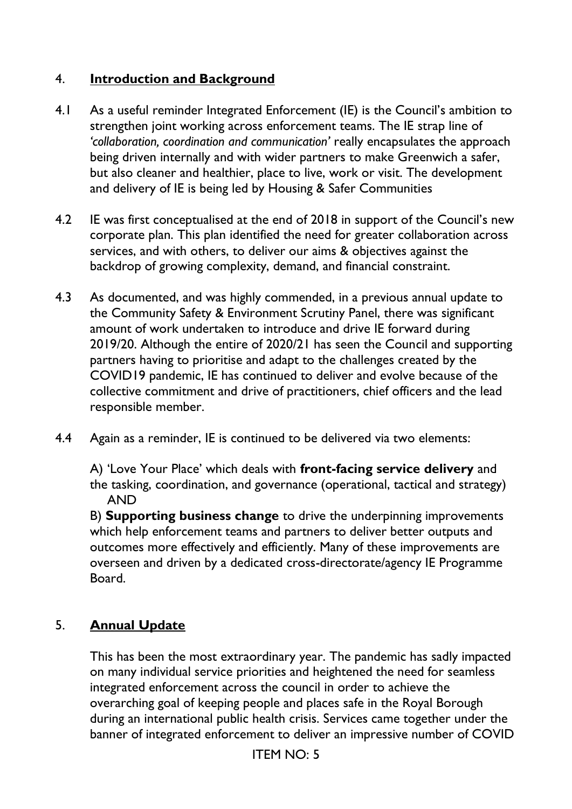## 4. **Introduction and Background**

- 4.1 As a useful reminder Integrated Enforcement (IE) is the Council's ambition to strengthen joint working across enforcement teams. The IE strap line of *'collaboration, coordination and communication'* really encapsulates the approach being driven internally and with wider partners to make Greenwich a safer, but also cleaner and healthier, place to live, work or visit. The development and delivery of IE is being led by Housing & Safer Communities
- 4.2 IE was first conceptualised at the end of 2018 in support of the Council's new corporate plan. This plan identified the need for greater collaboration across services, and with others, to deliver our aims & objectives against the backdrop of growing complexity, demand, and financial constraint.
- 4.3 As documented, and was highly commended, in a previous annual update to the Community Safety & Environment Scrutiny Panel, there was significant amount of work undertaken to introduce and drive IE forward during 2019/20. Although the entire of 2020/21 has seen the Council and supporting partners having to prioritise and adapt to the challenges created by the COVID19 pandemic, IE has continued to deliver and evolve because of the collective commitment and drive of practitioners, chief officers and the lead responsible member.
- 4.4 Again as a reminder, IE is continued to be delivered via two elements:

A) 'Love Your Place' which deals with **front-facing service delivery** and the tasking, coordination, and governance (operational, tactical and strategy) AND

B) **Supporting business change** to drive the underpinning improvements which help enforcement teams and partners to deliver better outputs and outcomes more effectively and efficiently. Many of these improvements are overseen and driven by a dedicated cross-directorate/agency IE Programme Board.

## 5. **Annual Update**

This has been the most extraordinary year. The pandemic has sadly impacted on many individual service priorities and heightened the need for seamless integrated enforcement across the council in order to achieve the overarching goal of keeping people and places safe in the Royal Borough during an international public health crisis. Services came together under the banner of integrated enforcement to deliver an impressive number of COVID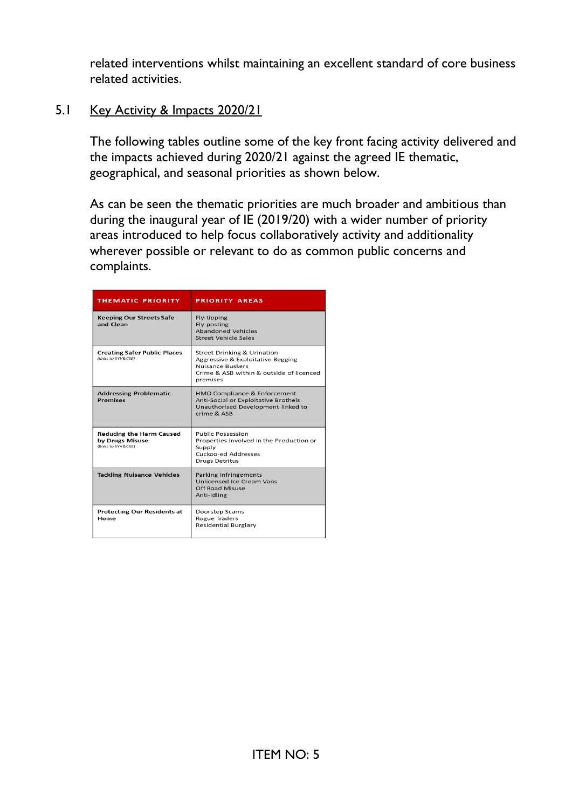related interventions whilst maintaining an excellent standard of core business related activities.

#### 5.1 Key Activity & Impacts 2020/21

The following tables outline some of the key front facing activity delivered and the impacts achieved during 2020/21 against the agreed IE thematic, geographical, and seasonal priorities as shown below.

As can be seen the thematic priorities are much broader and ambitious than during the inaugural year of IE (2019/20) with a wider number of priority areas introduced to help focus collaboratively activity and additionality wherever possible or relevant to do as common public concerns and complaints.

| <b>THEMATIC PRIORITY</b>                                                 | <b>PRIORITY AREAS</b>                                                                                                                                          |
|--------------------------------------------------------------------------|----------------------------------------------------------------------------------------------------------------------------------------------------------------|
| <b>Keeping Our Streets Safe</b><br>and Clean                             | Fly-tipping<br>Fly-posting<br><b>Abandoned Vehicles</b><br><b>Street Vehicle Sales</b>                                                                         |
| <b>Creating Safer Public Places</b><br>(links to SYV&CSE)                | <b>Street Drinking &amp; Urination</b><br>Aggressive & Exploitative Begging<br><b>Nuisance Buskers</b><br>Crime & ASB within & outside of licenced<br>premises |
| <b>Addressing Problematic</b><br><b>Premises</b>                         | HMO Compliance & Enforcement<br>Anti-Social or Exploitative Brothels<br>Unauthorised Development linked to<br>crime & ASB                                      |
| <b>Reducing the Harm Caused</b><br>by Drugs Misuse<br>(links to SYV&CSE) | <b>Public Possession</b><br>Properties Involved in the Production or<br>Supply<br>Cuckoo-ed Addresses<br><b>Drugs Detritus</b>                                 |
| <b>Tackling Nuisance Vehicles</b>                                        | Parking Infringements<br>Unlicensed Ice Cream Vans<br>Off Road Misuse<br>Anti-Idling                                                                           |
| <b>Protecting Our Residents at</b><br>Home                               | Doorstep Scams<br><b>Rogue Traders</b><br><b>Residential Burglary</b>                                                                                          |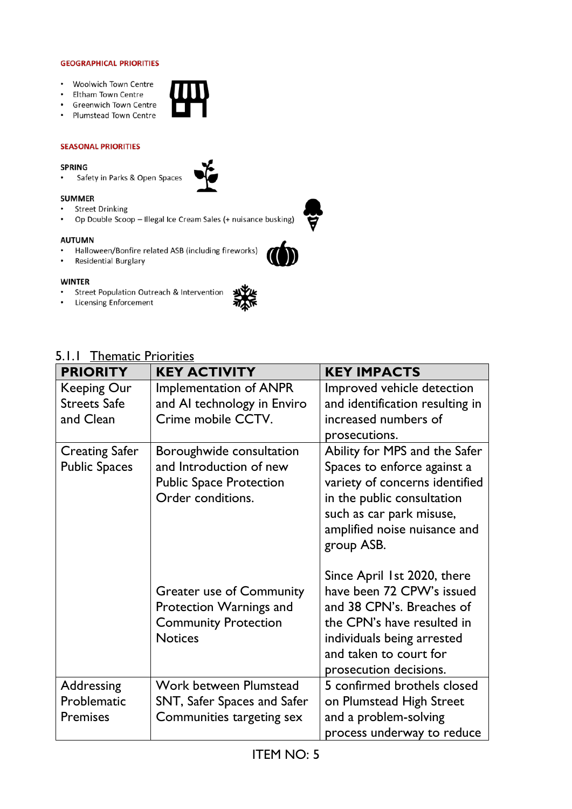#### **GEOGRAPHICAL PRIORITIES**

- Woolwich Town Centre
- Eltham Town Centre
- Greenwich Town Centre
- Plumstead Town Centre

#### **SEASONAL PRIORITIES**

#### **SPRING**

• Safety in Parks & Open Spaces







#### **AUTUMN**

**SUMMER** 

- Halloween/Bonfire related ASB (including fireworks)
- Residential Burglary

• Street Drinking

#### **WINTER**

- Street Population Outreach & Intervention
- Licensing Enforcement



| <b>PRIORITY</b>                                        | <b>KEY ACTIVITY</b>                                                                                         | <b>KEY IMPACTS</b>                                                                                                                                                                                     |
|--------------------------------------------------------|-------------------------------------------------------------------------------------------------------------|--------------------------------------------------------------------------------------------------------------------------------------------------------------------------------------------------------|
| <b>Keeping Our</b><br><b>Streets Safe</b><br>and Clean | Implementation of ANPR<br>and AI technology in Enviro<br>Crime mobile CCTV.                                 | Improved vehicle detection<br>and identification resulting in<br>increased numbers of<br>prosecutions.                                                                                                 |
| <b>Creating Safer</b><br><b>Public Spaces</b>          | Boroughwide consultation<br>and Introduction of new<br><b>Public Space Protection</b><br>Order conditions.  | Ability for MPS and the Safer<br>Spaces to enforce against a<br>variety of concerns identified<br>in the public consultation<br>such as car park misuse,<br>amplified noise nuisance and<br>group ASB. |
|                                                        | <b>Greater use of Community</b><br>Protection Warnings and<br><b>Community Protection</b><br><b>Notices</b> | Since April 1st 2020, there<br>have been 72 CPW's issued<br>and 38 CPN's. Breaches of<br>the CPN's have resulted in<br>individuals being arrested<br>and taken to court for<br>prosecution decisions.  |
| Addressing<br>Problematic<br><b>Premises</b>           | Work between Plumstead<br>SNT, Safer Spaces and Safer<br>Communities targeting sex                          | 5 confirmed brothels closed<br>on Plumstead High Street<br>and a problem-solving<br>process underway to reduce                                                                                         |

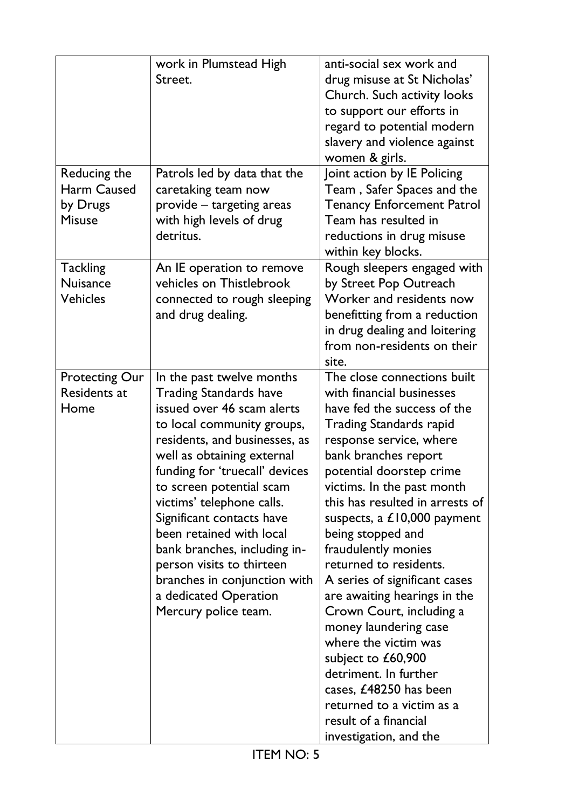|                                                                 | work in Plumstead High<br>Street.                                                                                                                                                                                                                                                                                                                                                                                                                                                       | anti-social sex work and<br>drug misuse at St Nicholas'<br>Church. Such activity looks<br>to support our efforts in<br>regard to potential modern<br>slavery and violence against<br>women & girls.                                                                                                                                                                                                                                                                                                                                                                                                                                                                                     |
|-----------------------------------------------------------------|-----------------------------------------------------------------------------------------------------------------------------------------------------------------------------------------------------------------------------------------------------------------------------------------------------------------------------------------------------------------------------------------------------------------------------------------------------------------------------------------|-----------------------------------------------------------------------------------------------------------------------------------------------------------------------------------------------------------------------------------------------------------------------------------------------------------------------------------------------------------------------------------------------------------------------------------------------------------------------------------------------------------------------------------------------------------------------------------------------------------------------------------------------------------------------------------------|
| Reducing the<br><b>Harm Caused</b><br>by Drugs<br><b>Misuse</b> | Patrols led by data that the<br>caretaking team now<br>provide - targeting areas<br>with high levels of drug<br>detritus.                                                                                                                                                                                                                                                                                                                                                               | Joint action by IE Policing<br>Team, Safer Spaces and the<br><b>Tenancy Enforcement Patrol</b><br>Team has resulted in<br>reductions in drug misuse<br>within key blocks.                                                                                                                                                                                                                                                                                                                                                                                                                                                                                                               |
| <b>Tackling</b><br><b>Nuisance</b><br><b>Vehicles</b>           | An IE operation to remove<br>vehicles on Thistlebrook<br>connected to rough sleeping<br>and drug dealing.                                                                                                                                                                                                                                                                                                                                                                               | Rough sleepers engaged with<br>by Street Pop Outreach<br>Worker and residents now<br>benefitting from a reduction<br>in drug dealing and loitering<br>from non-residents on their<br>site.                                                                                                                                                                                                                                                                                                                                                                                                                                                                                              |
| <b>Protecting Our</b><br>Residents at<br>Home                   | In the past twelve months<br><b>Trading Standards have</b><br>issued over 46 scam alerts<br>to local community groups,<br>residents, and businesses, as<br>well as obtaining external<br>funding for 'truecall' devices<br>to screen potential scam<br>victims' telephone calls.<br>Significant contacts have<br>been retained with local<br>bank branches, including in-<br>person visits to thirteen<br>branches in conjunction with<br>a dedicated Operation<br>Mercury police team. | The close connections built<br>with financial businesses<br>have fed the success of the<br><b>Trading Standards rapid</b><br>response service, where<br>bank branches report<br>potential doorstep crime<br>victims. In the past month<br>this has resulted in arrests of<br>suspects, a $£10,000$ payment<br>being stopped and<br>fraudulently monies<br>returned to residents.<br>A series of significant cases<br>are awaiting hearings in the<br>Crown Court, including a<br>money laundering case<br>where the victim was<br>subject to £60,900<br>detriment. In further<br>cases, £48250 has been<br>returned to a victim as a<br>result of a financial<br>investigation, and the |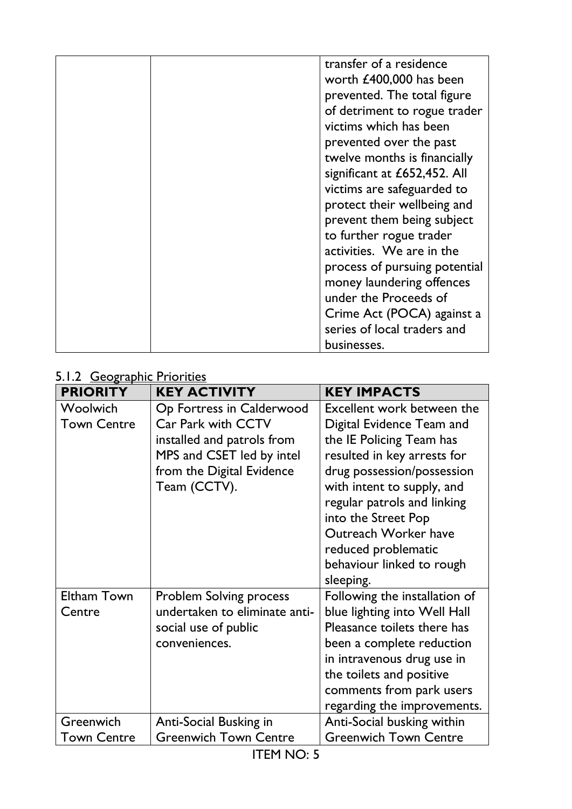|  | transfer of a residence       |
|--|-------------------------------|
|  |                               |
|  | worth £400,000 has been       |
|  | prevented. The total figure   |
|  | of detriment to rogue trader  |
|  | victims which has been        |
|  | prevented over the past       |
|  | twelve months is financially  |
|  | significant at £652,452. All  |
|  | victims are safeguarded to    |
|  | protect their wellbeing and   |
|  | prevent them being subject    |
|  | to further rogue trader       |
|  | activities. We are in the     |
|  | process of pursuing potential |
|  | money laundering offences     |
|  | under the Proceeds of         |
|  | Crime Act (POCA) against a    |
|  | series of local traders and   |
|  | businesses.                   |

## 5.1.2 Geographic Priorities

| $cos$ applied to the set<br><b>PRIORITY</b> | <b>KEY ACTIVITY</b>                                                                                                                                            | <b>KEY IMPACTS</b>                                                                                                                                                                                                                                                                                                            |
|---------------------------------------------|----------------------------------------------------------------------------------------------------------------------------------------------------------------|-------------------------------------------------------------------------------------------------------------------------------------------------------------------------------------------------------------------------------------------------------------------------------------------------------------------------------|
| Woolwich<br><b>Town Centre</b>              | Op Fortress in Calderwood<br><b>Car Park with CCTV</b><br>installed and patrols from<br>MPS and CSET led by intel<br>from the Digital Evidence<br>Team (CCTV). | Excellent work between the<br>Digital Evidence Team and<br>the IE Policing Team has<br>resulted in key arrests for<br>drug possession/possession<br>with intent to supply, and<br>regular patrols and linking<br>into the Street Pop<br>Outreach Worker have<br>reduced problematic<br>behaviour linked to rough<br>sleeping. |
| Eltham Town<br>Centre                       | <b>Problem Solving process</b><br>undertaken to eliminate anti-<br>social use of public<br>conveniences.                                                       | Following the installation of<br>blue lighting into Well Hall<br>Pleasance toilets there has<br>been a complete reduction<br>in intravenous drug use in<br>the toilets and positive<br>comments from park users<br>regarding the improvements.                                                                                |
| Greenwich                                   | Anti-Social Busking in                                                                                                                                         | Anti-Social busking within                                                                                                                                                                                                                                                                                                    |
| <b>Town Centre</b>                          | <b>Greenwich Town Centre</b>                                                                                                                                   | <b>Greenwich Town Centre</b>                                                                                                                                                                                                                                                                                                  |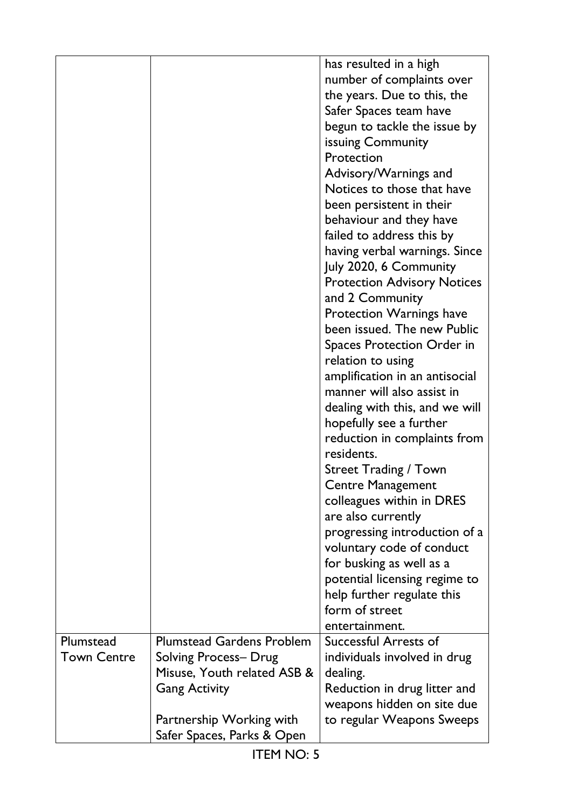|                    |                                  | has resulted in a high             |
|--------------------|----------------------------------|------------------------------------|
|                    |                                  | number of complaints over          |
|                    |                                  | the years. Due to this, the        |
|                    |                                  | Safer Spaces team have             |
|                    |                                  |                                    |
|                    |                                  | begun to tackle the issue by       |
|                    |                                  | issuing Community                  |
|                    |                                  | Protection                         |
|                    |                                  | Advisory/Warnings and              |
|                    |                                  | Notices to those that have         |
|                    |                                  | been persistent in their           |
|                    |                                  | behaviour and they have            |
|                    |                                  | failed to address this by          |
|                    |                                  | having verbal warnings. Since      |
|                    |                                  | July 2020, 6 Community             |
|                    |                                  | <b>Protection Advisory Notices</b> |
|                    |                                  | and 2 Community                    |
|                    |                                  | Protection Warnings have           |
|                    |                                  | been issued. The new Public        |
|                    |                                  | Spaces Protection Order in         |
|                    |                                  | relation to using                  |
|                    |                                  | amplification in an antisocial     |
|                    |                                  | manner will also assist in         |
|                    |                                  | dealing with this, and we will     |
|                    |                                  | hopefully see a further            |
|                    |                                  | reduction in complaints from       |
|                    |                                  | residents.                         |
|                    |                                  | <b>Street Trading / Town</b>       |
|                    |                                  | <b>Centre Management</b>           |
|                    |                                  | colleagues within in DRES          |
|                    |                                  | are also currently                 |
|                    |                                  | progressing introduction of a      |
|                    |                                  |                                    |
|                    |                                  | voluntary code of conduct          |
|                    |                                  | for busking as well as a           |
|                    |                                  | potential licensing regime to      |
|                    |                                  | help further regulate this         |
|                    |                                  | form of street                     |
|                    |                                  | entertainment.                     |
| Plumstead          | <b>Plumstead Gardens Problem</b> | Successful Arrests of              |
| <b>Town Centre</b> | Solving Process- Drug            | individuals involved in drug       |
|                    | Misuse, Youth related ASB &      | dealing.                           |
|                    | <b>Gang Activity</b>             | Reduction in drug litter and       |
|                    |                                  | weapons hidden on site due         |
|                    | Partnership Working with         | to regular Weapons Sweeps          |
|                    | Safer Spaces, Parks & Open       |                                    |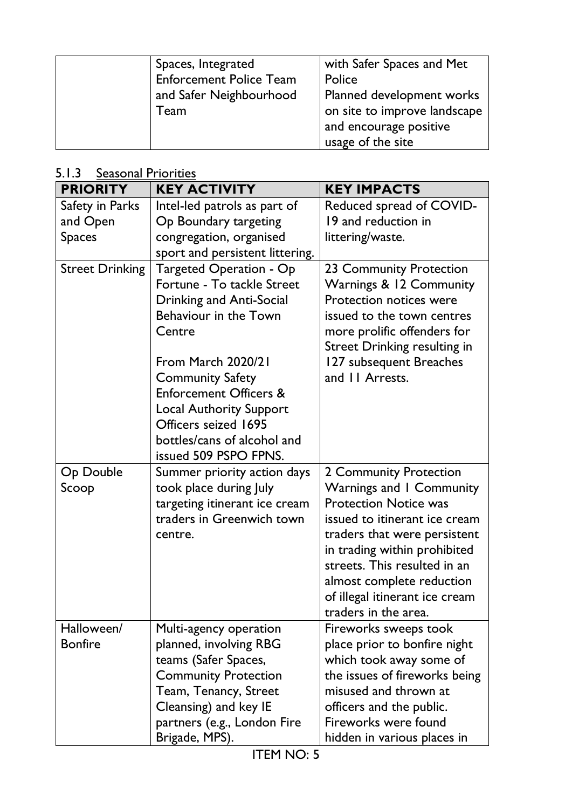| Spaces, Integrated             | with Safer Spaces and Met    |
|--------------------------------|------------------------------|
| <b>Enforcement Police Team</b> | Police                       |
| and Safer Neighbourhood        | Planned development works    |
| Team                           | on site to improve landscape |
|                                | and encourage positive       |
|                                | usage of the site            |

# 5.1.3 Seasonal Priorities

| <b>PRIORITY</b>        | <b>KEY ACTIVITY</b>               | <b>KEY IMPACTS</b>                                     |
|------------------------|-----------------------------------|--------------------------------------------------------|
| Safety in Parks        | Intel-led patrols as part of      | Reduced spread of COVID-                               |
| and Open               | Op Boundary targeting             | 19 and reduction in                                    |
| <b>Spaces</b>          | congregation, organised           | littering/waste.                                       |
|                        | sport and persistent littering.   |                                                        |
| <b>Street Drinking</b> | <b>Targeted Operation - Op</b>    | 23 Community Protection                                |
|                        | Fortune - To tackle Street        | Warnings & 12 Community                                |
|                        | Drinking and Anti-Social          | Protection notices were                                |
|                        | Behaviour in the Town             | issued to the town centres                             |
|                        | Centre                            | more prolific offenders for                            |
|                        |                                   | <b>Street Drinking resulting in</b>                    |
|                        | From March 2020/21                | 127 subsequent Breaches                                |
|                        | <b>Community Safety</b>           | and 11 Arrests.                                        |
|                        | <b>Enforcement Officers &amp;</b> |                                                        |
|                        | <b>Local Authority Support</b>    |                                                        |
|                        | Officers seized 1695              |                                                        |
|                        | bottles/cans of alcohol and       |                                                        |
|                        | issued 509 PSPO FPNS.             |                                                        |
| Op Double              | Summer priority action days       | 2 Community Protection                                 |
| Scoop                  | took place during July            | Warnings and I Community                               |
|                        | targeting itinerant ice cream     | <b>Protection Notice was</b>                           |
|                        | traders in Greenwich town         | issued to itinerant ice cream                          |
|                        | centre.                           | traders that were persistent                           |
|                        |                                   | in trading within prohibited                           |
|                        |                                   | streets. This resulted in an                           |
|                        |                                   | almost complete reduction                              |
|                        |                                   | of illegal itinerant ice cream                         |
|                        |                                   | traders in the area.                                   |
| Halloween/             | Multi-agency operation            | Fireworks sweeps took                                  |
| <b>Bonfire</b>         | planned, involving RBG            | place prior to bonfire night                           |
|                        | teams (Safer Spaces,              | which took away some of                                |
|                        | <b>Community Protection</b>       | the issues of fireworks being<br>misused and thrown at |
|                        | Team, Tenancy, Street             |                                                        |
|                        | Cleansing) and key IE             | officers and the public.                               |
|                        | partners (e.g., London Fire       | Fireworks were found                                   |
|                        | Brigade, MPS).                    | hidden in various places in                            |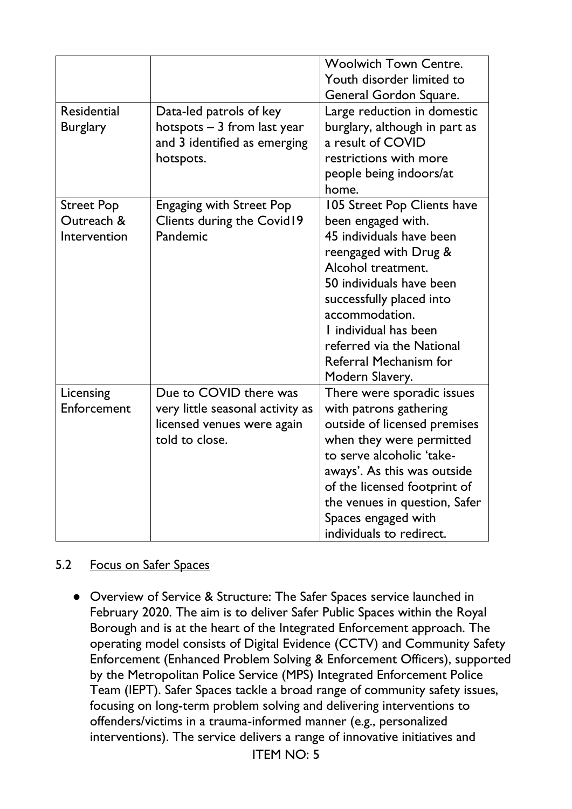|                                                 |                                                                                                            | <b>Woolwich Town Centre.</b><br>Youth disorder limited to<br>General Gordon Square.                                                                                                                                                                                                                       |
|-------------------------------------------------|------------------------------------------------------------------------------------------------------------|-----------------------------------------------------------------------------------------------------------------------------------------------------------------------------------------------------------------------------------------------------------------------------------------------------------|
| <b>Residential</b><br><b>Burglary</b>           | Data-led patrols of key<br>hotspots $-3$ from last year<br>and 3 identified as emerging<br>hotspots.       | Large reduction in domestic<br>burglary, although in part as<br>a result of COVID<br>restrictions with more<br>people being indoors/at<br>home.                                                                                                                                                           |
| <b>Street Pop</b><br>Outreach &<br>Intervention | <b>Engaging with Street Pop</b><br>Clients during the Covid19<br>Pandemic                                  | 105 Street Pop Clients have<br>been engaged with.<br>45 individuals have been<br>reengaged with Drug &<br>Alcohol treatment.<br>50 individuals have been<br>successfully placed into<br>accommodation.<br>I individual has been<br>referred via the National<br>Referral Mechanism for<br>Modern Slavery. |
| Licensing<br>Enforcement                        | Due to COVID there was<br>very little seasonal activity as<br>licensed venues were again<br>told to close. | There were sporadic issues<br>with patrons gathering<br>outside of licensed premises<br>when they were permitted<br>to serve alcoholic 'take-<br>aways'. As this was outside<br>of the licensed footprint of<br>the venues in question, Safer<br>Spaces engaged with<br>individuals to redirect.          |

### 5.2 Focus on Safer Spaces

● Overview of Service & Structure: The Safer Spaces service launched in February 2020. The aim is to deliver Safer Public Spaces within the Royal Borough and is at the heart of the Integrated Enforcement approach. The operating model consists of Digital Evidence (CCTV) and Community Safety Enforcement (Enhanced Problem Solving & Enforcement Officers), supported by the Metropolitan Police Service (MPS) Integrated Enforcement Police Team (IEPT). Safer Spaces tackle a broad range of community safety issues, focusing on long-term problem solving and delivering interventions to offenders/victims in a trauma-informed manner (e.g., personalized interventions). The service delivers a range of innovative initiatives and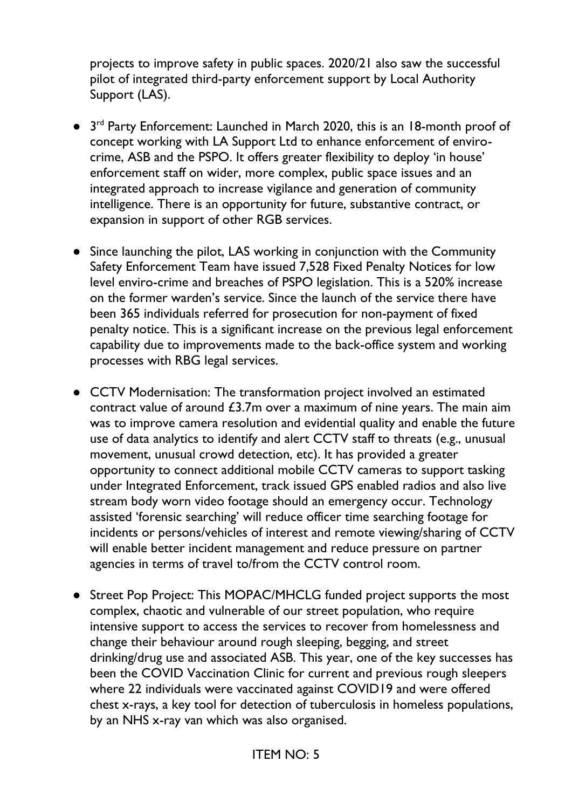projects to improve safety in public spaces. 2020/21 also saw the successful pilot of integrated third-party enforcement support by Local Authority Support (LAS).

- 3<sup>rd</sup> Party Enforcement: Launched in March 2020, this is an 18-month proof of concept working with LA Support Ltd to enhance enforcement of envirocrime, ASB and the PSPO. It offers greater flexibility to deploy 'in house' enforcement staff on wider, more complex, public space issues and an integrated approach to increase vigilance and generation of community intelligence. There is an opportunity for future, substantive contract, or expansion in support of other RGB services.
- Since launching the pilot, LAS working in conjunction with the Community Safety Enforcement Team have issued 7,528 Fixed Penalty Notices for low level enviro-crime and breaches of PSPO legislation. This is a 520% increase on the former warden's service. Since the launch of the service there have been 365 individuals referred for prosecution for non-payment of fixed penalty notice. This is a significant increase on the previous legal enforcement capability due to improvements made to the back-office system and working processes with RBG legal services.
- CCTV Modernisation: The transformation project involved an estimated contract value of around £3.7m over a maximum of nine years. The main aim was to improve camera resolution and evidential quality and enable the future use of data analytics to identify and alert CCTV staff to threats (e.g., unusual movement, unusual crowd detection, etc). It has provided a greater opportunity to connect additional mobile CCTV cameras to support tasking under Integrated Enforcement, track issued GPS enabled radios and also live stream body worn video footage should an emergency occur. Technology assisted 'forensic searching' will reduce officer time searching footage for incidents or persons/vehicles of interest and remote viewing/sharing of CCTV will enable better incident management and reduce pressure on partner agencies in terms of travel to/from the CCTV control room.
- Street Pop Project: This MOPAC/MHCLG funded project supports the most complex, chaotic and vulnerable of our street population, who require intensive support to access the services to recover from homelessness and change their behaviour around rough sleeping, begging, and street drinking/drug use and associated ASB. This year, one of the key successes has been the COVID Vaccination Clinic for current and previous rough sleepers where 22 individuals were vaccinated against COVID19 and were offered chest x-rays, a key tool for detection of tuberculosis in homeless populations, by an NHS x-ray van which was also organised.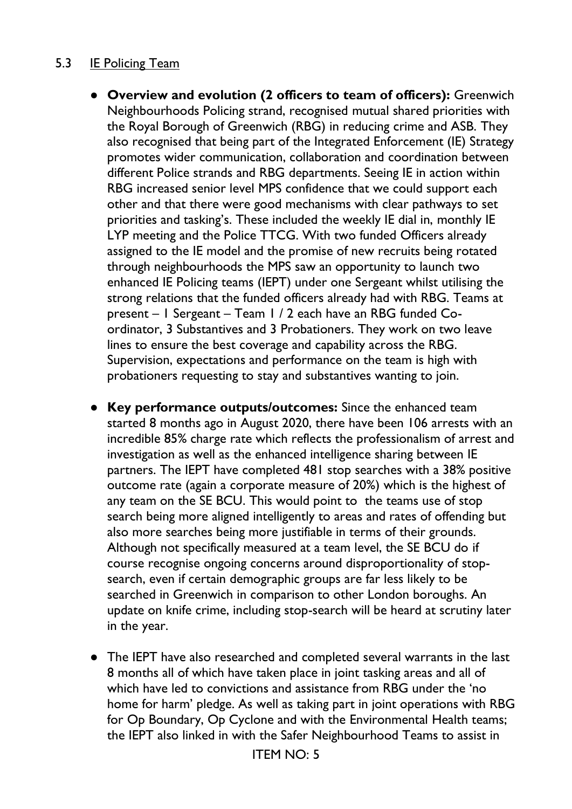## 5.3 IE Policing Team

- **Overview and evolution (2 officers to team of officers):** Greenwich Neighbourhoods Policing strand, recognised mutual shared priorities with the Royal Borough of Greenwich (RBG) in reducing crime and ASB. They also recognised that being part of the Integrated Enforcement (IE) Strategy promotes wider communication, collaboration and coordination between different Police strands and RBG departments. Seeing IE in action within RBG increased senior level MPS confidence that we could support each other and that there were good mechanisms with clear pathways to set priorities and tasking's. These included the weekly IE dial in, monthly IE LYP meeting and the Police TTCG. With two funded Officers already assigned to the IE model and the promise of new recruits being rotated through neighbourhoods the MPS saw an opportunity to launch two enhanced IE Policing teams (IEPT) under one Sergeant whilst utilising the strong relations that the funded officers already had with RBG. Teams at present – 1 Sergeant – Team 1 / 2 each have an RBG funded Coordinator, 3 Substantives and 3 Probationers. They work on two leave lines to ensure the best coverage and capability across the RBG. Supervision, expectations and performance on the team is high with probationers requesting to stay and substantives wanting to join.
- **Key performance outputs/outcomes:** Since the enhanced team started 8 months ago in August 2020, there have been 106 arrests with an incredible 85% charge rate which reflects the professionalism of arrest and investigation as well as the enhanced intelligence sharing between IE partners. The IEPT have completed 481 stop searches with a 38% positive outcome rate (again a corporate measure of 20%) which is the highest of any team on the SE BCU. This would point to the teams use of stop search being more aligned intelligently to areas and rates of offending but also more searches being more justifiable in terms of their grounds. Although not specifically measured at a team level, the SE BCU do if course recognise ongoing concerns around disproportionality of stopsearch, even if certain demographic groups are far less likely to be searched in Greenwich in comparison to other London boroughs. An update on knife crime, including stop-search will be heard at scrutiny later in the year.
- The IEPT have also researched and completed several warrants in the last 8 months all of which have taken place in joint tasking areas and all of which have led to convictions and assistance from RBG under the 'no home for harm' pledge. As well as taking part in joint operations with RBG for Op Boundary, Op Cyclone and with the Environmental Health teams; the IEPT also linked in with the Safer Neighbourhood Teams to assist in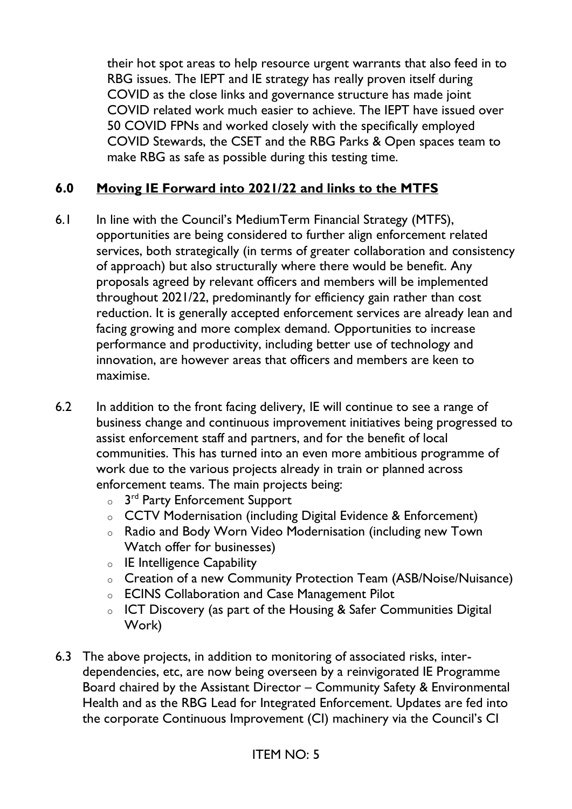their hot spot areas to help resource urgent warrants that also feed in to RBG issues. The IEPT and IE strategy has really proven itself during COVID as the close links and governance structure has made joint COVID related work much easier to achieve. The IEPT have issued over 50 COVID FPNs and worked closely with the specifically employed COVID Stewards, the CSET and the RBG Parks & Open spaces team to make RBG as safe as possible during this testing time.

## **6.0 Moving IE Forward into 2021/22 and links to the MTFS**

- 6.1 In line with the Council's MediumTerm Financial Strategy (MTFS), opportunities are being considered to further align enforcement related services, both strategically (in terms of greater collaboration and consistency of approach) but also structurally where there would be benefit. Any proposals agreed by relevant officers and members will be implemented throughout 2021/22, predominantly for efficiency gain rather than cost reduction. It is generally accepted enforcement services are already lean and facing growing and more complex demand. Opportunities to increase performance and productivity, including better use of technology and innovation, are however areas that officers and members are keen to maximise.
- 6.2 In addition to the front facing delivery, IE will continue to see a range of business change and continuous improvement initiatives being progressed to assist enforcement staff and partners, and for the benefit of local communities. This has turned into an even more ambitious programme of work due to the various projects already in train or planned across enforcement teams. The main projects being:
	- $\circ$  3<sup>rd</sup> Party Enforcement Support
	- o CCTV Modernisation (including Digital Evidence & Enforcement)
	- o Radio and Body Worn Video Modernisation (including new Town Watch offer for businesses)
	- o IE Intelligence Capability
	- o Creation of a new Community Protection Team (ASB/Noise/Nuisance)
	- o ECINS Collaboration and Case Management Pilot
	- o ICT Discovery (as part of the Housing & Safer Communities Digital Work)
- 6.3 The above projects, in addition to monitoring of associated risks, interdependencies, etc, are now being overseen by a reinvigorated IE Programme Board chaired by the Assistant Director – Community Safety & Environmental Health and as the RBG Lead for Integrated Enforcement. Updates are fed into the corporate Continuous Improvement (CI) machinery via the Council's CI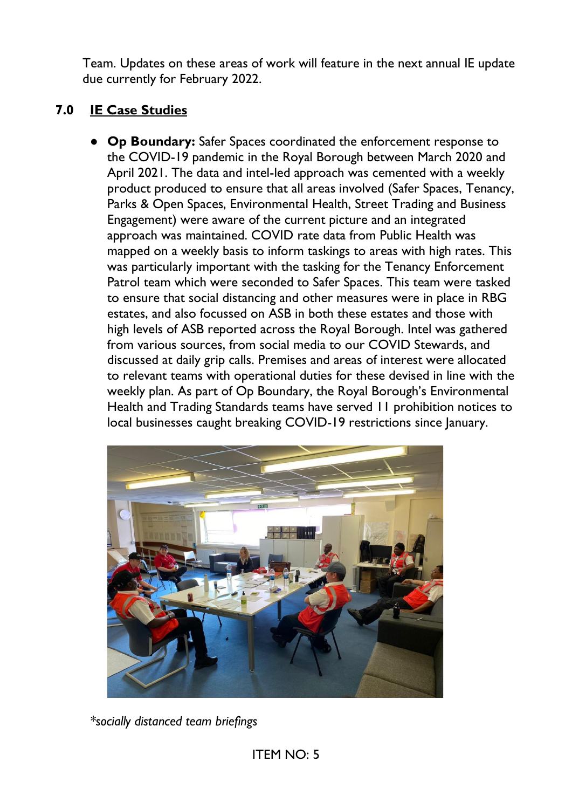Team. Updates on these areas of work will feature in the next annual IE update due currently for February 2022.

# **7.0 IE Case Studies**

● **Op Boundary:** Safer Spaces coordinated the enforcement response to the COVID-19 pandemic in the Royal Borough between March 2020 and April 2021. The data and intel-led approach was cemented with a weekly product produced to ensure that all areas involved (Safer Spaces, Tenancy, Parks & Open Spaces, Environmental Health, Street Trading and Business Engagement) were aware of the current picture and an integrated approach was maintained. COVID rate data from Public Health was mapped on a weekly basis to inform taskings to areas with high rates. This was particularly important with the tasking for the Tenancy Enforcement Patrol team which were seconded to Safer Spaces. This team were tasked to ensure that social distancing and other measures were in place in RBG estates, and also focussed on ASB in both these estates and those with high levels of ASB reported across the Royal Borough. Intel was gathered from various sources, from social media to our COVID Stewards, and discussed at daily grip calls. Premises and areas of interest were allocated to relevant teams with operational duties for these devised in line with the weekly plan. As part of Op Boundary, the Royal Borough's Environmental Health and Trading Standards teams have served 11 prohibition notices to local businesses caught breaking COVID-19 restrictions since January.



*\*socially distanced team briefings*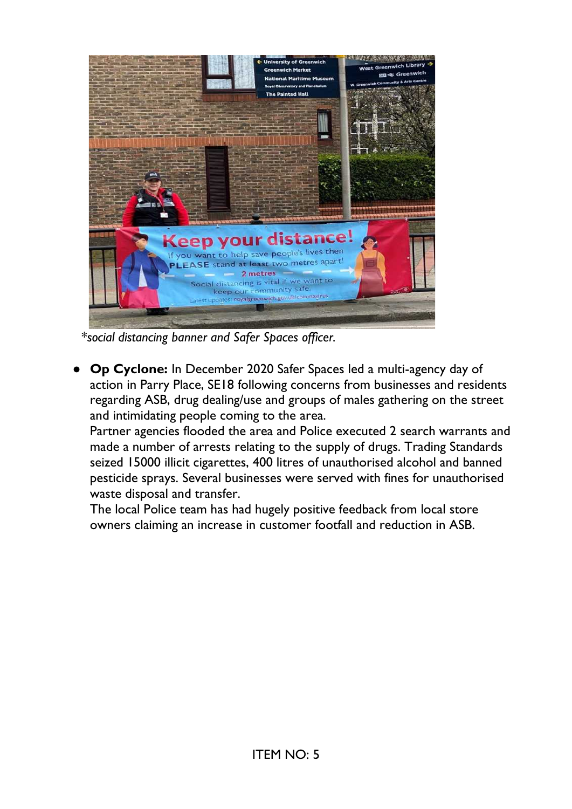

\**social distancing banner and Safer Spaces officer.*

**Op Cyclone:** In December 2020 Safer Spaces led a multi-agency day of action in Parry Place, SE18 following concerns from businesses and residents regarding ASB, drug dealing/use and groups of males gathering on the street and intimidating people coming to the area.

Partner agencies flooded the area and Police executed 2 search warrants and made a number of arrests relating to the supply of drugs. Trading Standards seized 15000 illicit cigarettes, 400 litres of unauthorised alcohol and banned pesticide sprays. Several businesses were served with fines for unauthorised waste disposal and transfer.

The local Police team has had hugely positive feedback from local store owners claiming an increase in customer footfall and reduction in ASB.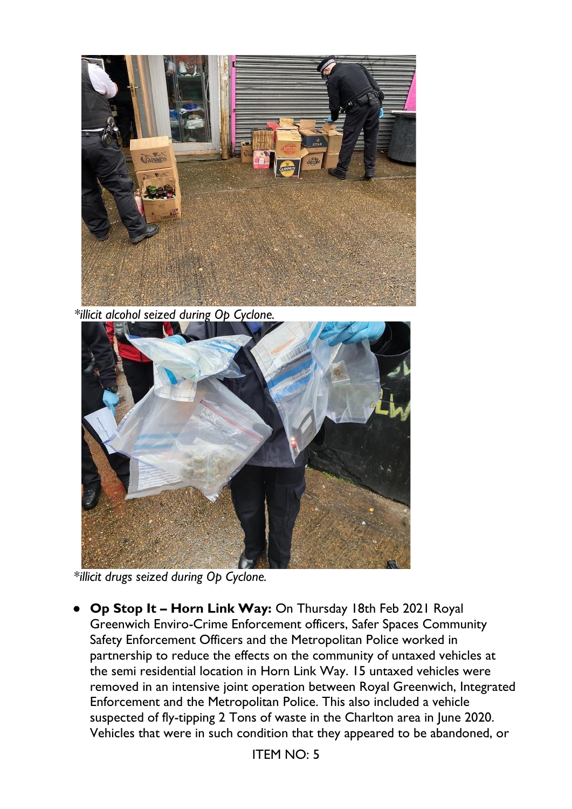

 *\*illicit alcohol seized during Op Cyclone.*



\**illicit drugs seized during Op Cyclone.*

● **Op Stop It – Horn Link Way:** On Thursday 18th Feb 2021 Royal Greenwich Enviro-Crime Enforcement officers, Safer Spaces Community Safety Enforcement Officers and the Metropolitan Police worked in partnership to reduce the effects on the community of untaxed vehicles at the semi residential location in Horn Link Way. 15 untaxed vehicles were removed in an intensive joint operation between Royal Greenwich, Integrated Enforcement and the Metropolitan Police. This also included a vehicle suspected of fly-tipping 2 Tons of waste in the Charlton area in June 2020. Vehicles that were in such condition that they appeared to be abandoned, or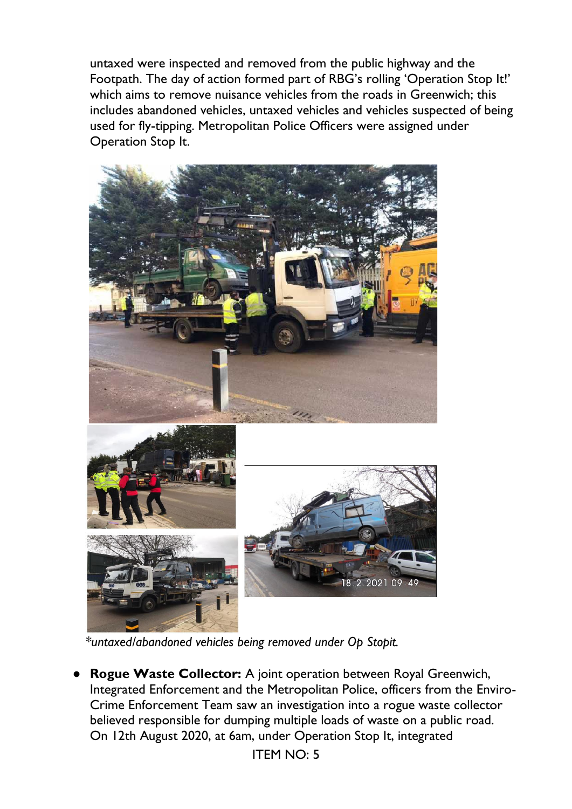untaxed were inspected and removed from the public highway and the Footpath. The day of action formed part of RBG's rolling 'Operation Stop It!' which aims to remove nuisance vehicles from the roads in Greenwich; this includes abandoned vehicles, untaxed vehicles and vehicles suspected of being used for fly-tipping. Metropolitan Police Officers were assigned under Operation Stop It.



 *\*untaxed/abandoned vehicles being removed under Op Stopit.*

**Rogue Waste Collector:** A joint operation between Royal Greenwich, Integrated Enforcement and the Metropolitan Police, officers from the Enviro-Crime Enforcement Team saw an investigation into a rogue waste collector believed responsible for dumping multiple loads of waste on a public road. On 12th August 2020, at 6am, under Operation Stop It, integrated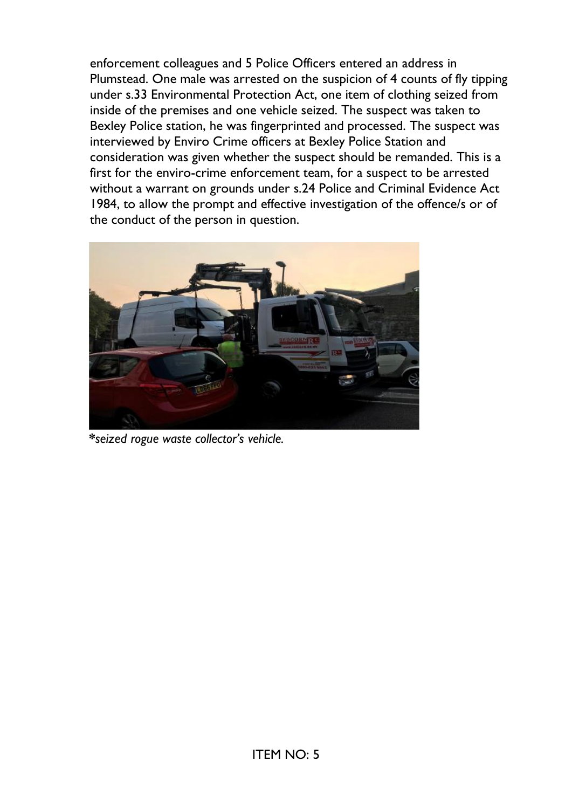enforcement colleagues and 5 Police Officers entered an address in Plumstead. One male was arrested on the suspicion of 4 counts of fly tipping under s.33 Environmental Protection Act, one item of clothing seized from inside of the premises and one vehicle seized. The suspect was taken to Bexley Police station, he was fingerprinted and processed. The suspect was interviewed by Enviro Crime officers at Bexley Police Station and consideration was given whether the suspect should be remanded. This is a first for the enviro-crime enforcement team, for a suspect to be arrested without a warrant on grounds under s.24 Police and Criminal Evidence Act 1984, to allow the prompt and effective investigation of the offence/s or of the conduct of the person in question.



 **\****seized rogue waste collector's vehicle.*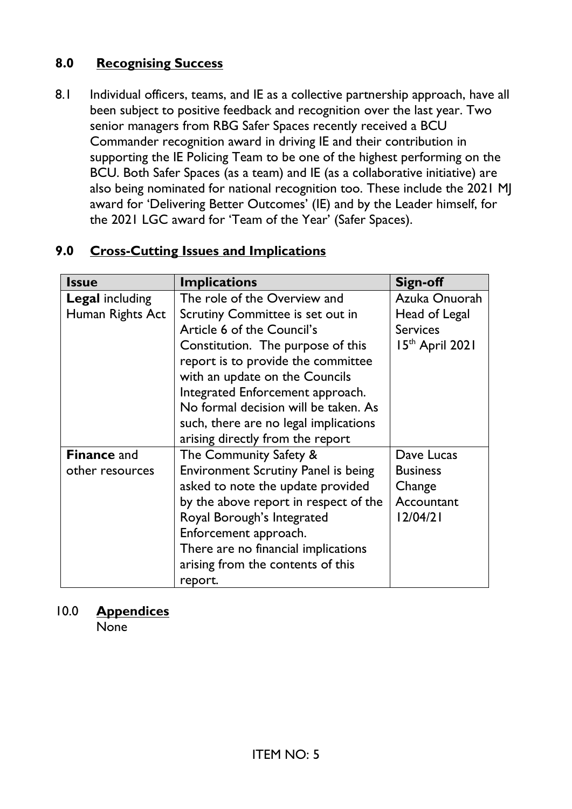# **8.0 Recognising Success**

8.1 Individual officers, teams, and IE as a collective partnership approach, have all been subject to positive feedback and recognition over the last year. Two senior managers from RBG Safer Spaces recently received a BCU Commander recognition award in driving IE and their contribution in supporting the IE Policing Team to be one of the highest performing on the BCU. Both Safer Spaces (as a team) and IE (as a collaborative initiative) are also being nominated for national recognition too. These include the 2021 MJ award for 'Delivering Better Outcomes' (IE) and by the Leader himself, for the 2021 LGC award for 'Team of the Year' (Safer Spaces).

# **9.0 Cross-Cutting Issues and Implications**

| <b>Issue</b>           | <b>Implications</b>                        | Sign-off        |
|------------------------|--------------------------------------------|-----------------|
| <b>Legal including</b> | The role of the Overview and               | Azuka Onuorah   |
| Human Rights Act       | Scrutiny Committee is set out in           | Head of Legal   |
|                        | Article 6 of the Council's                 | <b>Services</b> |
|                        | Constitution. The purpose of this          | 15th April 2021 |
|                        | report is to provide the committee         |                 |
|                        | with an update on the Councils             |                 |
|                        | Integrated Enforcement approach.           |                 |
|                        | No formal decision will be taken. As       |                 |
|                        | such, there are no legal implications      |                 |
|                        | arising directly from the report           |                 |
| <b>Finance and</b>     | The Community Safety &                     | Dave Lucas      |
| other resources        | <b>Environment Scrutiny Panel is being</b> | <b>Business</b> |
|                        | asked to note the update provided          | Change          |
|                        | by the above report in respect of the      | Accountant      |
|                        | Royal Borough's Integrated                 | 12/04/21        |
|                        | Enforcement approach.                      |                 |
|                        | There are no financial implications        |                 |
|                        | arising from the contents of this          |                 |
|                        | report.                                    |                 |

## 10.0 **Appendices**

None